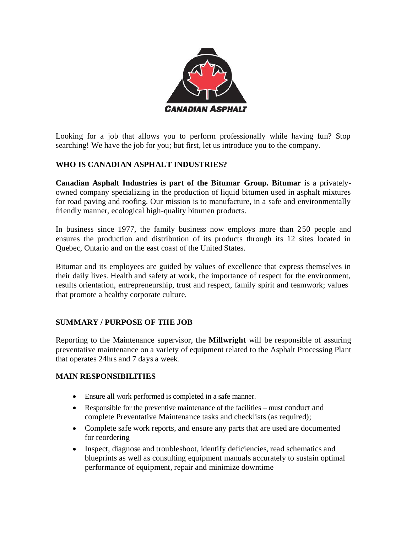

Looking for a job that allows you to perform professionally while having fun? Stop searching! We have the job for you; but first, let us introduce you to the company.

# **WHO IS CANADIAN ASPHALT INDUSTRIES?**

**Canadian Asphalt Industries is part of the Bitumar Group. Bitumar** is a privatelyowned company specializing in the production of liquid bitumen used in asphalt mixtures for road paving and roofing. Our mission is to manufacture, in a safe and environmentally friendly manner, ecological high-quality bitumen products.

In business since 1977, the family business now employs more than 250 people and ensures the production and distribution of its products through its 12 sites located in Quebec, Ontario and on the east coast of the United States.

Bitumar and its employees are guided by values of excellence that express themselves in their daily lives. Health and safety at work, the importance of respect for the environment, results orientation, entrepreneurship, trust and respect, family spirit and teamwork; values that promote a healthy corporate culture.

## **SUMMARY / PURPOSE OF THE JOB**

Reporting to the Maintenance supervisor, the **Millwright** will be responsible of assuring preventative maintenance on a variety of equipment related to the Asphalt Processing Plant that operates 24hrs and 7 days a week.

## **MAIN RESPONSIBILITIES**

- Ensure all work performed is completed in a safe manner.
- Responsible for the preventive maintenance of the facilities must conduct and complete Preventative Maintenance tasks and checklists (as required);
- Complete safe work reports, and ensure any parts that are used are documented for reordering
- Inspect, diagnose and troubleshoot, identify deficiencies, read schematics and blueprints as well as consulting equipment manuals accurately to sustain optimal performance of equipment, repair and minimize downtime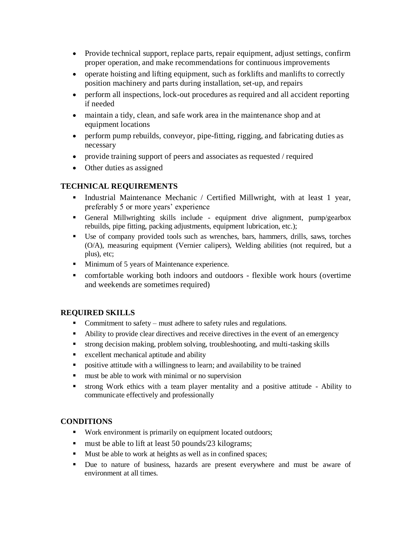- Provide technical support, replace parts, repair equipment, adjust settings, confirm proper operation, and make recommendations for continuous improvements
- operate hoisting and lifting equipment, such as forklifts and manlifts to correctly position machinery and parts during installation, set-up, and repairs
- perform all inspections, lock-out procedures as required and all accident reporting if needed
- maintain a tidy, clean, and safe work area in the maintenance shop and at equipment locations
- perform pump rebuilds, conveyor, pipe-fitting, rigging, and fabricating duties as necessary
- provide training support of peers and associates as requested / required
- Other duties as assigned

## **TECHNICAL REQUIREMENTS**

- Industrial Maintenance Mechanic / Certified Millwright, with at least 1 year, preferably 5 or more years' experience
- General Millwrighting skills include equipment drive alignment, pump/gearbox rebuilds, pipe fitting, packing adjustments, equipment lubrication, etc.);
- Use of company provided tools such as wrenches, bars, hammers, drills, saws, torches (O/A), measuring equipment (Vernier calipers), Welding abilities (not required, but a plus), etc;
- Minimum of 5 years of Maintenance experience.
- comfortable working both indoors and outdoors flexible work hours (overtime and weekends are sometimes required)

#### **REQUIRED SKILLS**

- Commitment to safety must adhere to safety rules and regulations.
- Ability to provide clear directives and receive directives in the event of an emergency
- strong decision making, problem solving, troubleshooting, and multi-tasking skills
- excellent mechanical aptitude and ability
- **•** positive attitude with a willingness to learn; and availability to be trained
- must be able to work with minimal or no supervision
- strong Work ethics with a team player mentality and a positive attitude Ability to communicate effectively and professionally

#### **CONDITIONS**

- Work environment is primarily on equipment located outdoors;
- must be able to lift at least 50 pounds/23 kilograms;
- Must be able to work at heights as well as in confined spaces;
- Due to nature of business, hazards are present everywhere and must be aware of environment at all times.